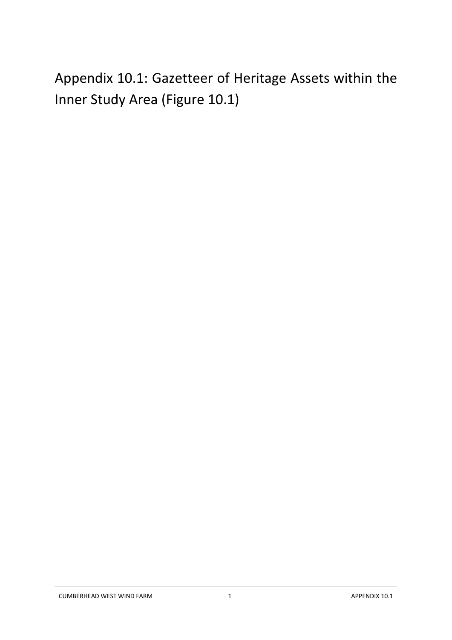Appendix 10.1: Gazetteer of Heritage Assets within the Inner Study Area (Figure 10.1)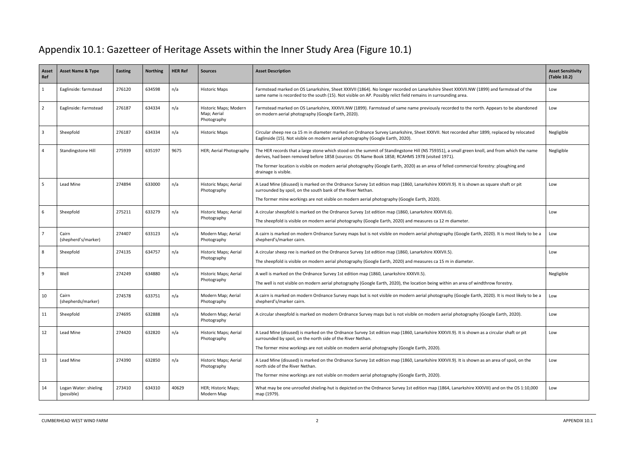## Appendix 10.1: Gazetteer of Heritage Assets within the Inner Study Area (Figure 10.1)

| Asset<br>Ref            | <b>Asset Name &amp; Type</b>        | Easting | <b>Northing</b> | <b>HER Ref</b> | <b>Sources</b>                                      | <b>Asset Description</b>                                                                                                                                                                                                                                                                                                                                                                                           | <b>Asset Sensitivity</b><br>(Table 10.2) |
|-------------------------|-------------------------------------|---------|-----------------|----------------|-----------------------------------------------------|--------------------------------------------------------------------------------------------------------------------------------------------------------------------------------------------------------------------------------------------------------------------------------------------------------------------------------------------------------------------------------------------------------------------|------------------------------------------|
| $\mathbf{1}$            | Eaglinside: farmstead               | 276120  | 634598          | n/a            | <b>Historic Maps</b>                                | Farmstead marked on OS Lanarkshire, Sheet XXXVII (1864). No longer recorded on Lanarkshire Sheet XXXVII.NW (1899) and farmstead of the<br>same name is recorded to the south (15). Not visible on AP. Possibly relict field remains in surrounding area.                                                                                                                                                           | Low                                      |
| $\overline{2}$          | Eaglinside: Farmstead               | 276187  | 634334          | n/a            | Historic Maps; Modern<br>Map; Aerial<br>Photography | Farmstead marked on OS Lanarkshire, XXXVII.NW (1899). Farmstead of same name previously recorded to the north. Appears to be abandoned<br>on modern aerial photography (Google Earth, 2020).                                                                                                                                                                                                                       | Low                                      |
| $\overline{\mathbf{3}}$ | Sheepfold                           | 276187  | 634334          | n/a            | <b>Historic Maps</b>                                | Circular sheep ree ca 15 m in diameter marked on Ordnance Survey Lanarkshire, Sheet XXXVII. Not recorded after 1899, replaced by relocated<br>Eaglinside (15). Not visible on modern aerial photography (Google Earth, 2020).                                                                                                                                                                                      | Negligible                               |
| $\overline{4}$          | Standingstone Hill                  | 275939  | 635197          | 9675           | HER; Aerial Photography                             | The HER records that a large stone which stood on the summit of Standingstone Hill (NS 759351), a small green knoll, and from which the name<br>derives, had been removed before 1858 (sources: OS Name Book 1858; RCAHMS 1978 (visited 1971).<br>The former location is visible on modern aerial photography (Google Earth, 2020) as an area of felled commercial forestry: ploughing and<br>drainage is visible. | Negligible                               |
| -5                      | <b>Lead Mine</b>                    | 274894  | 633000          | n/a            | Historic Maps; Aerial<br>Photography                | A Lead Mine (disused) is marked on the Ordnance Survey 1st edition map (1860, Lanarkshire XXXVII.9). It is shown as square shaft or pit<br>surrounded by spoil, on the south bank of the River Nethan.<br>The former mine workings are not visible on modern aerial photography (Google Earth, 2020).                                                                                                              | Low                                      |
| 6                       | Sheepfold                           | 275211  | 633279          | n/a            | Historic Maps; Aerial<br>Photography                | A circular sheepfold is marked on the Ordnance Survey 1st edition map (1860, Lanarkshire XXXVII.6).<br>The sheepfold is visible on modern aerial photography (Google Earth, 2020) and measures ca 12 m diameter.                                                                                                                                                                                                   | Low                                      |
| $\overline{7}$          | Cairn<br>(shepherd's/marker)        | 274407  | 633123          | n/a            | Modern Map; Aerial<br>Photography                   | A cairn is marked on modern Ordnance Survey maps but is not visible on modern aerial photography (Google Earth, 2020). It is most likely to be a<br>shepherd's/marker cairn.                                                                                                                                                                                                                                       | Low                                      |
| 8                       | Sheepfold                           | 274135  | 634757          | n/a            | Historic Maps; Aerial<br>Photography                | A circular sheep ree is marked on the Ordnance Survey 1st edition map (1860, Lanarkshire XXXVII.5).<br>The sheepfold is visible on modern aerial photography (Google Earth, 2020) and measures ca 15 m in diameter.                                                                                                                                                                                                | Low                                      |
| q                       | Well                                | 274249  | 634880          | n/a            | Historic Maps; Aerial<br>Photography                | A well is marked on the Ordnance Survey 1st edition map (1860, Lanarkshire XXXVII.5).<br>The well is not visible on modern aerial photography (Google Earth, 2020), the location being within an area of windthrow forestry.                                                                                                                                                                                       | Negligible                               |
| 10                      | Cairn<br>(shepherds/marker)         | 274578  | 633751          | n/a            | Modern Map; Aerial<br>Photography                   | A cairn is marked on modern Ordnance Survey maps but is not visible on modern aerial photography (Google Earth, 2020). It is most likely to be a<br>shepherd's/marker cairn.                                                                                                                                                                                                                                       | Low                                      |
| 11                      | Sheepfold                           | 274695  | 632888          | n/a            | Modern Map; Aerial<br>Photography                   | A circular sheepfold is marked on modern Ordnance Survey maps but is not visible on modern aerial photography (Google Earth, 2020).                                                                                                                                                                                                                                                                                | Low                                      |
| 12                      | Lead Mine                           | 274420  | 632820          | n/a            | Historic Maps; Aerial<br>Photography                | A Lead Mine (disused) is marked on the Ordnance Survey 1st edition map (1860, Lanarkshire XXXVII.9). It is shown as a circular shaft or pit<br>surrounded by spoil, on the north side of the River Nethan.<br>The former mine workings are not visible on modern aerial photography (Google Earth, 2020).                                                                                                          | Low                                      |
| 13                      | Lead Mine                           | 274390  | 632850          | n/a            | Historic Maps; Aerial<br>Photography                | A Lead Mine (disused) is marked on the Ordnance Survey 1st edition map (1860, Lanarkshire XXXVII.9). It is shown as an area of spoil, on the<br>north side of the River Nethan.<br>The former mine workings are not visible on modern aerial photography (Google Earth, 2020).                                                                                                                                     | Low                                      |
| 14                      | Logan Water: shieling<br>(possible) | 273410  | 634310          | 40629          | HER; Historic Maps;<br>Modern Map                   | What may be one unroofed shieling-hut is depicted on the Ordnance Survey 1st edition map (1864, Lanarkshire XXXVIII) and on the OS 1:10,000<br>map (1979).                                                                                                                                                                                                                                                         | Low                                      |